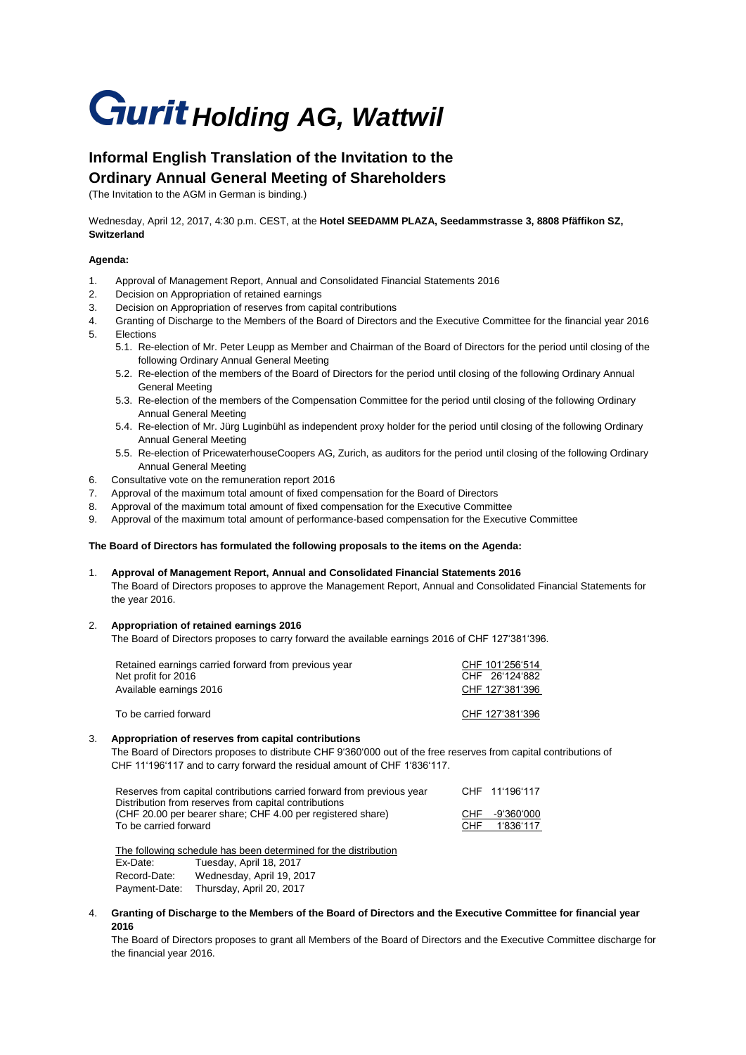# **Gurit Holding AG, Wattwil**

# **Informal English Translation of the Invitation to the Ordinary Annual General Meeting of Shareholders**

(The Invitation to the AGM in German is binding.)

Wednesday, April 12, 2017, 4:30 p.m. CEST, at the **Hotel SEEDAMM PLAZA, Seedammstrasse 3, 8808 Pfäffikon SZ, Switzerland**

## **Agenda:**

- 1. Approval of Management Report, Annual and Consolidated Financial Statements 2016
- 2. Decision on Appropriation of retained earnings
- 3. Decision on Appropriation of reserves from capital contributions
- 4. Granting of Discharge to the Members of the Board of Directors and the Executive Committee for the financial year 2016 5. Elections
	- 5.1. Re-election of Mr. Peter Leupp as Member and Chairman of the Board of Directors for the period until closing of the following Ordinary Annual General Meeting
	- 5.2. Re-election of the members of the Board of Directors for the period until closing of the following Ordinary Annual General Meeting
	- 5.3. Re-election of the members of the Compensation Committee for the period until closing of the following Ordinary Annual General Meeting
	- 5.4. Re-election of Mr. Jürg Luginbühl as independent proxy holder for the period until closing of the following Ordinary Annual General Meeting
	- 5.5. Re-election of PricewaterhouseCoopers AG, Zurich, as auditors for the period until closing of the following Ordinary Annual General Meeting
- 6. Consultative vote on the remuneration report 2016
- 7. Approval of the maximum total amount of fixed compensation for the Board of Directors
- 8. Approval of the maximum total amount of fixed compensation for the Executive Committee
- 9. Approval of the maximum total amount of performance-based compensation for the Executive Committee

#### **The Board of Directors has formulated the following proposals to the items on the Agenda:**

1. **Approval of Management Report, Annual and Consolidated Financial Statements 2016** The Board of Directors proposes to approve the Management Report, Annual and Consolidated Financial Statements for the year 2016.

#### 2. **Appropriation of retained earnings 2016**

The Board of Directors proposes to carry forward the available earnings 2016 of CHF 127'381'396.

| Retained earnings carried forward from previous year | CHF 101'256'514 |
|------------------------------------------------------|-----------------|
| Net profit for 2016                                  | CHF 26'124'882  |
| Available earnings 2016                              | CHF 127'381'396 |
| To be carried forward                                | CHF 127'381'396 |

#### 3. **Appropriation of reserves from capital contributions**

The Board of Directors proposes to distribute CHF 9'360'000 out of the free reserves from capital contributions of CHF 11'196'117 and to carry forward the residual amount of CHF 1'836'117.

| Reserves from capital contributions carried forward from previous year |      | CHF 11'196'117 |
|------------------------------------------------------------------------|------|----------------|
| Distribution from reserves from capital contributions                  |      |                |
| (CHF 20.00 per bearer share; CHF 4.00 per registered share)            |      | CHF -9'360'000 |
| To be carried forward                                                  | CHF. | 1'836'117      |
|                                                                        |      |                |

The following schedule has been determined for the distribution Ex-Date: Tuesday, April 18, 2017 Record-Date: Wednesday, April 19, 2017 Payment-Date: Thursday, April 20, 2017

4. **Granting of Discharge to the Members of the Board of Directors and the Executive Committee for financial year 2016**

The Board of Directors proposes to grant all Members of the Board of Directors and the Executive Committee discharge for the financial year 2016.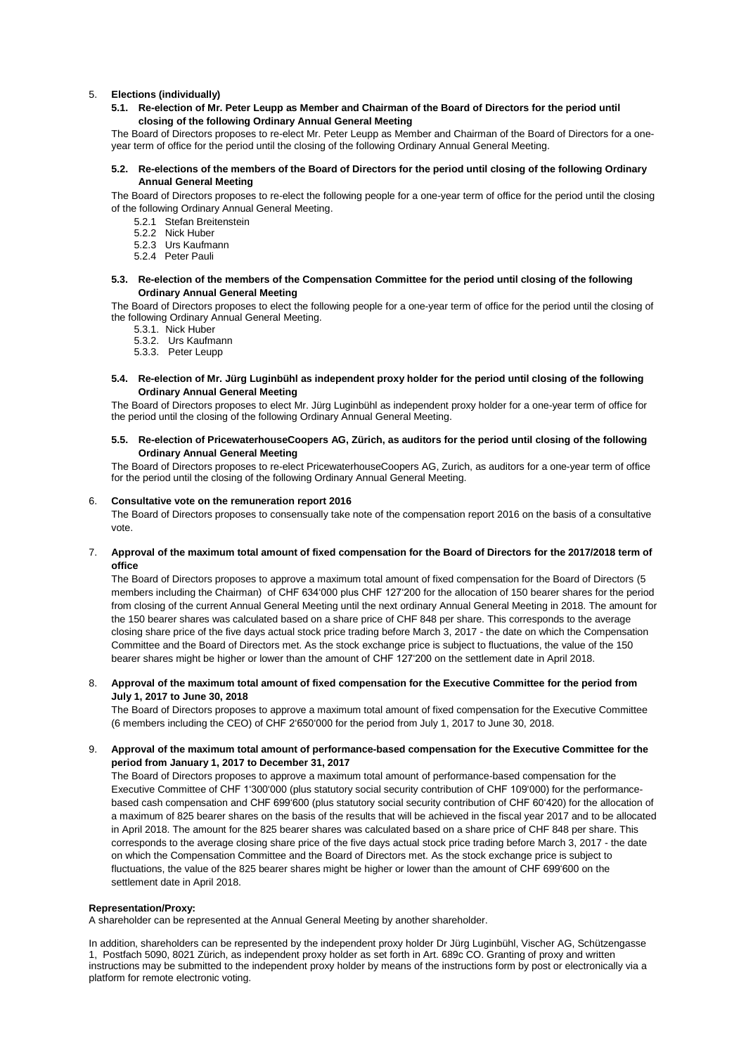#### 5. **Elections (individually)**

**5.1. Re-election of Mr. Peter Leupp as Member and Chairman of the Board of Directors for the period until closing of the following Ordinary Annual General Meeting** 

The Board of Directors proposes to re-elect Mr. Peter Leupp as Member and Chairman of the Board of Directors for a oneyear term of office for the period until the closing of the following Ordinary Annual General Meeting.

#### **5.2. Re-elections of the members of the Board of Directors for the period until closing of the following Ordinary Annual General Meeting**

The Board of Directors proposes to re-elect the following people for a one-year term of office for the period until the closing of the following Ordinary Annual General Meeting.

- 5.2.1 Stefan Breitenstein
- 5.2.2 Nick Huber
- 5.2.3 Urs Kaufmann
- 5.2.4 Peter Pauli

## **5.3. Re-election of the members of the Compensation Committee for the period until closing of the following Ordinary Annual General Meeting**

The Board of Directors proposes to elect the following people for a one-year term of office for the period until the closing of the following Ordinary Annual General Meeting.

- 5.3.1. Nick Huber
- 5.3.2. Urs Kaufmann
- 5.3.3. Peter Leupp
- **5.4. Re-election of Mr. Jürg Luginbühl as independent proxy holder for the period until closing of the following Ordinary Annual General Meeting**

The Board of Directors proposes to elect Mr. Jürg Luginbühl as independent proxy holder for a one-year term of office for the period until the closing of the following Ordinary Annual General Meeting.

**5.5. Re-election of PricewaterhouseCoopers AG, Zürich, as auditors for the period until closing of the following Ordinary Annual General Meeting**

The Board of Directors proposes to re-elect PricewaterhouseCoopers AG, Zurich, as auditors for a one-year term of office for the period until the closing of the following Ordinary Annual General Meeting.

#### 6. **Consultative vote on the remuneration report 2016**

The Board of Directors proposes to consensually take note of the compensation report 2016 on the basis of a consultative vote.

7. **Approval of the maximum total amount of fixed compensation for the Board of Directors for the 2017/2018 term of office**

The Board of Directors proposes to approve a maximum total amount of fixed compensation for the Board of Directors (5 members including the Chairman) of CHF 634'000 plus CHF 127'200 for the allocation of 150 bearer shares for the period from closing of the current Annual General Meeting until the next ordinary Annual General Meeting in 2018. The amount for the 150 bearer shares was calculated based on a share price of CHF 848 per share. This corresponds to the average closing share price of the five days actual stock price trading before March 3, 2017 - the date on which the Compensation Committee and the Board of Directors met. As the stock exchange price is subject to fluctuations, the value of the 150 bearer shares might be higher or lower than the amount of CHF 127'200 on the settlement date in April 2018.

# 8. **Approval of the maximum total amount of fixed compensation for the Executive Committee for the period from July 1, 2017 to June 30, 2018**

The Board of Directors proposes to approve a maximum total amount of fixed compensation for the Executive Committee (6 members including the CEO) of CHF 2'650'000 for the period from July 1, 2017 to June 30, 2018.

# 9. **Approval of the maximum total amount of performance-based compensation for the Executive Committee for the period from January 1, 2017 to December 31, 2017**

The Board of Directors proposes to approve a maximum total amount of performance-based compensation for the Executive Committee of CHF 1'300'000 (plus statutory social security contribution of CHF 109'000) for the performancebased cash compensation and CHF 699'600 (plus statutory social security contribution of CHF 60'420) for the allocation of a maximum of 825 bearer shares on the basis of the results that will be achieved in the fiscal year 2017 and to be allocated in April 2018. The amount for the 825 bearer shares was calculated based on a share price of CHF 848 per share. This corresponds to the average closing share price of the five days actual stock price trading before March 3, 2017 - the date on which the Compensation Committee and the Board of Directors met. As the stock exchange price is subject to fluctuations, the value of the 825 bearer shares might be higher or lower than the amount of CHF 699'600 on the settlement date in April 2018.

#### **Representation/Proxy:**

A shareholder can be represented at the Annual General Meeting by another shareholder.

In addition, shareholders can be represented by the independent proxy holder Dr Jürg Luginbühl, Vischer AG, Schützengasse 1, Postfach 5090, 8021 Zürich, as independent proxy holder as set forth in Art. 689c CO. Granting of proxy and written instructions may be submitted to the independent proxy holder by means of the instructions form by post or electronically via a platform for remote electronic voting.